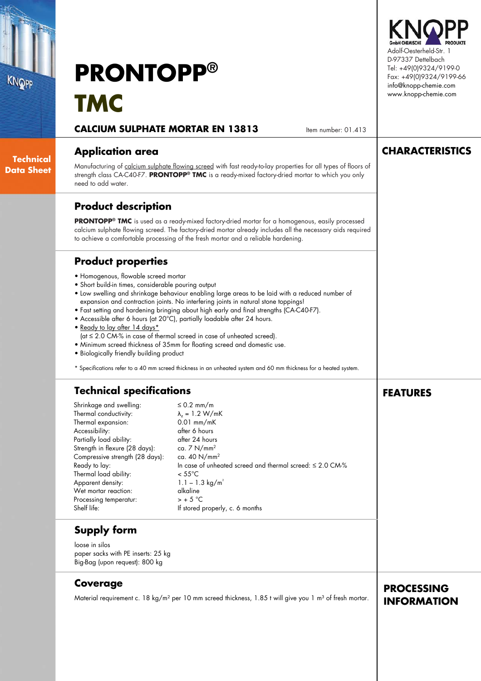